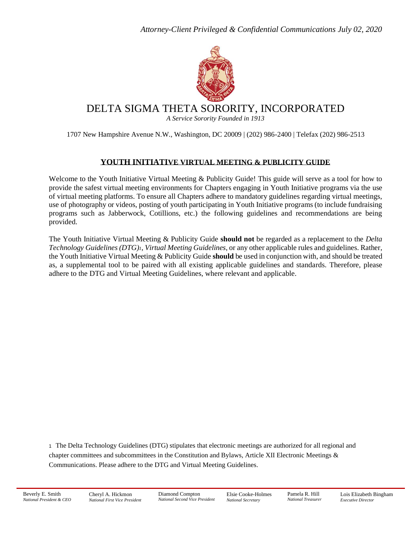

# DELTA SIGMA THETA SORORITY, INCORPORATED

*A Service Sorority Founded in 1913*

1707 New Hampshire Avenue N.W., Washington, DC 20009 | (202) 986-2400 | Telefax (202) 986-2513

## **YOUTH INITIATIVE VIRTUAL MEETING & PUBLICITY GUIDE**

Welcome to the Youth Initiative Virtual Meeting & Publicity Guide! This guide will serve as a tool for how to provide the safest virtual meeting environments for Chapters engaging in Youth Initiative programs via the use of virtual meeting platforms. To ensure all Chapters adhere to mandatory guidelines regarding virtual meetings, use of photography or videos, posting of youth participating in Youth Initiative programs (to include fundraising programs such as Jabberwock, Cotillions, etc.) the following guidelines and recommendations are being provided.

The Youth Initiative Virtual Meeting & Publicity Guide **should not** be regarded as a replacement to the *Delta Technology Guidelines (DTG)1*, *Virtual Meeting Guidelines*, or any other applicable rules and guidelines. Rather, the Youth Initiative Virtual Meeting & Publicity Guide **should** be used in conjunction with, and should be treated as, a supplemental tool to be paired with all existing applicable guidelines and standards. Therefore, please adhere to the DTG and Virtual Meeting Guidelines, where relevant and applicable.

<sup>1</sup> The Delta Technology Guidelines (DTG) stipulates that electronic meetings are authorized for all regional and chapter committees and subcommittees in the Constitution and Bylaws, Article XII Electronic Meetings & Communications. Please adhere to the DTG and Virtual Meeting Guidelines.

*National President & CEO*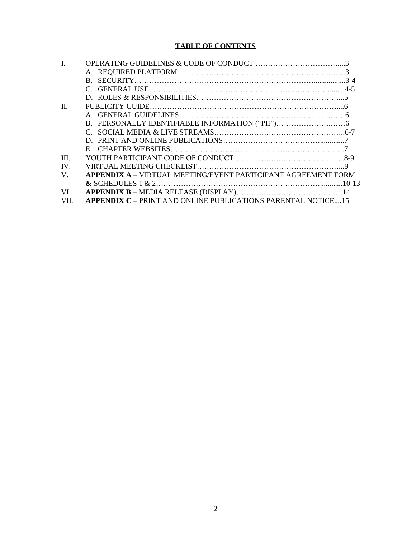## **TABLE OF CONTENTS**

| II.        |                                                                      |
|------------|----------------------------------------------------------------------|
|            |                                                                      |
|            |                                                                      |
|            |                                                                      |
|            |                                                                      |
|            |                                                                      |
| <b>III</b> |                                                                      |
| IV.        |                                                                      |
| V.         | <b>APPENDIX A – VIRTUAL MEETING/EVENT PARTICIPANT AGREEMENT FORM</b> |
|            |                                                                      |
| VI.        |                                                                      |
| VII.       | <b>APPENDIX C - PRINT AND ONLINE PUBLICATIONS PARENTAL NOTICE15</b>  |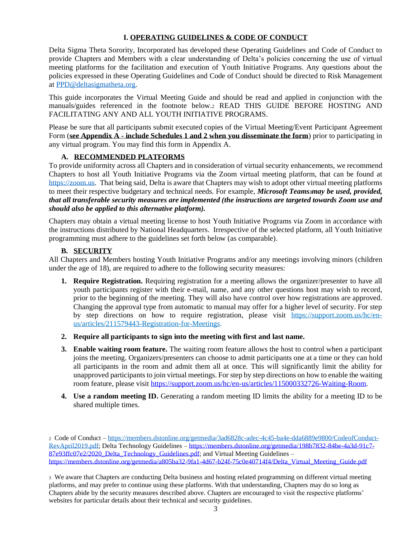## **I. OPERATING GUIDELINES & CODE OF CONDUCT**

Delta Sigma Theta Sorority, Incorporated has developed these Operating Guidelines and Code of Conduct to provide Chapters and Members with a clear understanding of Delta's policies concerning the use of virtual meeting platforms for the facilitation and execution of Youth Initiative Programs. Any questions about the policies expressed in these Operating Guidelines and Code of Conduct should be directed to Risk Management at [PPD@deltasigmatheta.org.](mailto:PPD@deltasigmatheta.org)

This guide incorporates the Virtual Meeting Guide and should be read and applied in conjunction with the manuals/guides referenced in the footnote below.<sup>2</sup> READ THIS GUIDE BEFORE HOSTING AND FACILITATING ANY AND ALL YOUTH INITIATIVE PROGRAMS.

Please be sure that all participants submit executed copies of the Virtual Meeting/Event Participant Agreement Form (**see Appendix A - include Schedules 1 and 2 when you disseminate the form**) prior to participating in any virtual program. You may find this form in Appendix A.

## **A. RECOMMENDED PLATFORMS**

To provide uniformity across all Chapters and in consideration of virtual security enhancements, we recommend Chapters to host all Youth Initiative Programs via the Zoom virtual meeting platform, that can be found at [https://zoom.us.](https://zoom.us/) That being said, Delta is aware that Chapters may wish to adopt other virtual meeting platforms to meet their respective budgetary and technical needs. For example, *Microsoft Teams3may be used, provided, that all transferable security measures are implemented (the instructions are targeted towards Zoom use and should also be applied to this alternative platform).*

Chapters may obtain a virtual meeting license to host Youth Initiative Programs via Zoom in accordance with the instructions distributed by National Headquarters. Irrespective of the selected platform, all Youth Initiative programming must adhere to the guidelines set forth below (as comparable).

## **B. SECURITY**

All Chapters and Members hosting Youth Initiative Programs and/or any meetings involving minors (children under the age of 18), are required to adhere to the following security measures:

- **1. Require Registration.** Requiring registration for a meeting allows the organizer/presenter to have all youth participants register with their e-mail, name, and any other questions host may wish to record, prior to the beginning of the meeting. They will also have control over how registrations are approved. Changing the approval type from automatic to manual may offer for a higher level of security. For step by step directions on how to require registration, please visit [https://support.zoom.us/hc/en](https://support.zoom.us/hc/en-us/articles/211579443-Registration-for-Meetings)[us/articles/211579443-Registration-for-Meetings.](https://support.zoom.us/hc/en-us/articles/211579443-Registration-for-Meetings)
- **2. Require all participants to sign into the meeting with first and last name.**
- **3. Enable waiting room feature.** The waiting room feature allows the host to control when a participant joins the meeting. Organizers/presenters can choose to admit participants one at a time or they can hold all participants in the room and admit them all at once. This will significantly limit the ability for unapproved participants to join virtual meetings. For step by step directions on how to enable the waiting room feature, please visit [https://support.zoom.us/hc/en-us/articles/115000332726-Waiting-Room.](https://support.zoom.us/hc/en-us/articles/115000332726-Waiting-Room)
- **4. Use a random meeting ID.** Generating a random meeting ID limits the ability for a meeting ID to be shared multiple times.

<sup>2</sup> Code of Conduct – [https://members.dstonline.org/getmedia/3ad6828c-adec-4c45-ba4e-dda6889e9800/CodeofConduct-](https://members.dstonline.org/getmedia/3ad6828c-adec-4c45-ba4e-dda6889e9800/CodeofConduct-RevApril2019.pdf)[RevApril2019.pdf;](https://members.dstonline.org/getmedia/3ad6828c-adec-4c45-ba4e-dda6889e9800/CodeofConduct-RevApril2019.pdf) Delta Technology Guidelines – [https://members.dstonline.org/getmedia/198b7832-84be-4a3d-91c7-](https://members.dstonline.org/getmedia/198b7832-84be-4a3d-91c7-87e93ffc07e2/2020_Delta_Technology_Guidelines.pdf) [87e93ffc07e2/2020\\_Delta\\_Technology\\_Guidelines.pdf;](https://members.dstonline.org/getmedia/198b7832-84be-4a3d-91c7-87e93ffc07e2/2020_Delta_Technology_Guidelines.pdf) and Virtual Meeting Guidelines – [https://members.dstonline.org/getmedia/a805ba32-9fa1-4d67-b24f-75c0e40714f4/Delta\\_Virtual\\_Meeting\\_Guide.pdf](https://members.dstonline.org/getmedia/a805ba32-9fa1-4d67-b24f-75c0e40714f4/Delta_Virtual_Meeting_Guide.pdf)

<sup>3</sup> We aware that Chapters are conducting Delta business and hosting related programming on different virtual meeting platforms, and may prefer to continue using these platforms. With that understanding, Chapters may do so long as Chapters abide by the security measures described above. Chapters are encouraged to visit the respective platforms' websites for particular details about their technical and security guidelines.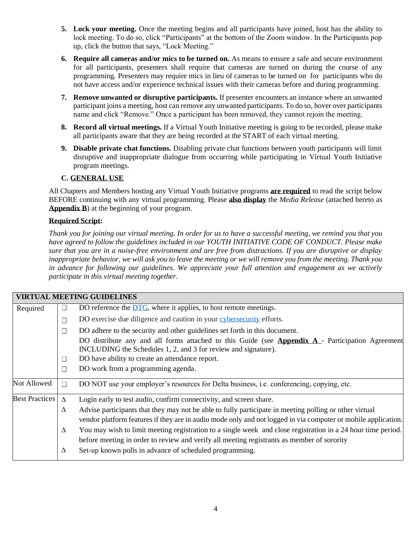- **5. Lock your meeting.** Once the meeting begins and all participants have joined, host has the ability to lock meeting. To do so, click "Participants" at the bottom of the Zoom window. In the Participants pop up, click the button that says, "Lock Meeting."
- **6. Require all cameras and/or mics to be turned on.** As means to ensure a safe and secure environment for all participants, presenters shall require that cameras are turned on during the course of any programming. Presenters may require mics in lieu of cameras to be turned on for participants who do not have access and/or experience technical issues with their cameras before and during programming.
- **7. Remove unwanted or disruptive participants.** If presenter encounters an instance where an unwanted participant joins a meeting, host can remove any unwanted participants. To do so, hover over participants name and click "Remove." Once a participant has been removed, they cannot rejoin the meeting.
- **8. Record all virtual meetings.** If a Virtual Youth Initiative meeting is going to be recorded, please make all participants aware that they are being recorded at the START of each virtual meeting.
- **9. Disable private chat functions.** Disabling private chat functions between youth participants will limit disruptive and inappropriate dialogue from occurring while participating in Virtual Youth Initiative program meetings.

## **C. GENERAL USE**

All Chapters and Members hosting any Virtual Youth Initiative programs **are required** to read the script below BEFORE continuing with any virtual programming. Please **also display** the *Media Release* (attached hereto as **Appendix B**) at the beginning of your program.

## **Required Script:**

*Thank you for joining our virtual meeting. In order for us to have a successful meeting, we remind you that you have agreed to follow the guidelines included in our YOUTH INITIATIVE CODE OF CONDUCT. Please make sure that you are in a noise-free environment and are free from distractions. If you are disruptive or display inappropriate behavior, we will ask you to leave the meeting or we will remove you from the meeting. Thank you in advance for following our guidelines. We appreciate your full attention and engagement as we actively participate in this virtual meeting together.* 

| <b>VIRTUAL MEETING GUIDELINES</b>                                                      |          |                                                                                                                                                                    |  |  |
|----------------------------------------------------------------------------------------|----------|--------------------------------------------------------------------------------------------------------------------------------------------------------------------|--|--|
| DO reference the DTG, where it applies, to host remote meetings.<br>Required<br>$\Box$ |          |                                                                                                                                                                    |  |  |
|                                                                                        | $\Box$   | DO exercise due diligence and caution in your cybersecurity efforts.                                                                                               |  |  |
|                                                                                        | $\Box$   | DO adhere to the security and other guidelines set forth in this document.                                                                                         |  |  |
|                                                                                        |          | DO distribute any and all forms attached to this Guide (see Appendix A - Participation Agreement<br>INCLUDING the Schedules 1, 2, and 3 for review and signature). |  |  |
|                                                                                        | ⊔        | DO have ability to create an attendance report.                                                                                                                    |  |  |
|                                                                                        | П        | DO work from a programming agenda.                                                                                                                                 |  |  |
| Not Allowed                                                                            | $\Box$   | DO NOT use your employer's resources for Delta business, <i>i.e.</i> conferencing, copying, etc.                                                                   |  |  |
| <b>Best Practices</b>                                                                  | $\Delta$ | Login early to test audio, confirm connectivity, and screen share.                                                                                                 |  |  |
|                                                                                        | Δ        | Advise participants that they may not be able to fully participate in meeting polling or other virtual                                                             |  |  |
|                                                                                        |          | vendor platform features if they are in audio mode only and not logged in via computer or mobile application.                                                      |  |  |
|                                                                                        | Δ        | You may wish to limit meeting registration to a single week and close registration in a 24 hour time period.                                                       |  |  |
|                                                                                        |          | before meeting in order to review and verify all meeting registrants as member of sorority                                                                         |  |  |
|                                                                                        | Δ        | Set-up known polls in advance of scheduled programming.                                                                                                            |  |  |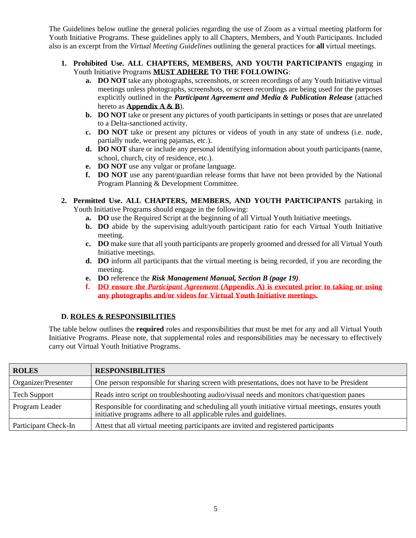The Guidelines below outline the general policies regarding the use of Zoom as a virtual meeting platform for Youth Initiative Programs. These guidelines apply to all Chapters, Members, and Youth Participants. Included also is an excerpt from the *Virtual Meeting Guidelines* outlining the general practices for **all** virtual meetings.

- **1. Prohibited Use. ALL CHAPTERS, MEMBERS, AND YOUTH PARTICIPANTS** engaging in Youth Initiative Programs **MUST ADHERE TO THE FOLLOWING**:
	- **a. DO NOT** take any photographs, screenshots, or screen recordings of any Youth Initiative virtual meetings unless photographs, screenshots, or screen recordings are being used for the purposes explicitly outlined in the *Participant Agreement and Media & Publication Release* (attached hereto as **Appendix A & B**).
	- **b. DO NOT** take or present any pictures of youth participants in settings or poses that are unrelated to a Delta-sanctioned activity.
	- **c. DO NOT** take or present any pictures or videos of youth in any state of undress (i.e. nude, partially nude, wearing pajamas, etc.).
	- **d. DO NOT** share or include any personal identifying information about youth participants (name, school, church, city of residence, etc.).
	- **e. DO NOT** use any vulgar or profane language.
	- **f. DO NOT** use any parent/guardian release forms that have not been provided by the National Program Planning & Development Committee.
- **2. Permitted Use. ALL CHAPTERS, MEMBERS, AND YOUTH PARTICIPANTS** partaking in Youth Initiative Programs should engage in the following:
	- **a. DO** use the Required Script at the beginning of all Virtual Youth Initiative meetings.
	- **b. DO** abide by the supervising adult/youth participant ratio for each Virtual Youth Initiative meeting.
	- **c. DO** make sure that all youth participants are properly groomed and dressed for all Virtual Youth Initiative meetings.
	- **d. DO** inform all participants that the virtual meeting is being recorded, if you are recording the meeting.
	- **e. DO** reference the *Risk Management Manual, Section B (page 19)*.
	- **f. DO ensure the** *Participant Agreement* **(Appendix A) is executed prior to taking or using any photographs and/or videos for Virtual Youth Initiative meetings.**

## **D. ROLES & RESPONSIBILITIES**

The table below outlines the **required** roles and responsibilities that must be met for any and all Virtual Youth Initiative Programs. Please note, that supplemental roles and responsibilities may be necessary to effectively carry out Virtual Youth Initiative Programs.

| <b>ROLES</b>         | <b>RESPONSIBILITIES</b>                                                                                                                                                |
|----------------------|------------------------------------------------------------------------------------------------------------------------------------------------------------------------|
| Organizer/Presenter  | One person responsible for sharing screen with presentations, does not have to be President                                                                            |
| <b>Tech Support</b>  | Reads intro script on troubleshooting audio/visual needs and monitors chat/question panes                                                                              |
| Program Leader       | Responsible for coordinating and scheduling all youth initiative virtual meetings, ensures youth<br>initiative programs adhere to all applicable rules and guidelines. |
| Participant Check-In | Attest that all virtual meeting participants are invited and registered participants                                                                                   |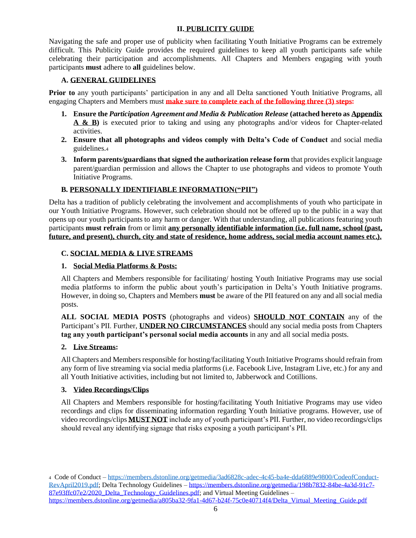## **II. PUBLICITY GUIDE**

Navigating the safe and proper use of publicity when facilitating Youth Initiative Programs can be extremely difficult. This Publicity Guide provides the required guidelines to keep all youth participants safe while celebrating their participation and accomplishments. All Chapters and Members engaging with youth participants **must** adhere to **all** guidelines below.

## **A. GENERAL GUIDELINES**

**Prior to** any youth participants' participation in any and all Delta sanctioned Youth Initiative Programs, all engaging Chapters and Members must **make sure to complete each of the following three (3) steps:**

- **1. Ensure the** *Participation Agreement and Media & Publication Release* **(attached hereto as Appendix A & B)** is executed prior to taking and using any photographs and/or videos for Chapter-related activities.
- **2. Ensure that all photographs and videos comply with Delta's Code of Conduct** and social media guidelines.<sup>4</sup>
- **3. Inform parents/guardians that signed the authorization release form** that provides explicit language parent/guardian permission and allows the Chapter to use photographs and videos to promote Youth Initiative Programs.

## **B. PERSONALLY IDENTIFIABLE INFORMATION("PII")**

Delta has a tradition of publicly celebrating the involvement and accomplishments of youth who participate in our Youth Initiative Programs. However, such celebration should not be offered up to the public in a way that opens up our youth participants to any harm or danger. With that understanding, all publications featuring youth participants **must refrain** from or limit **any personally identifiable information (i.e. full name, school (past, future, and present), church, city and state of residence, home address, social media account names etc.).**

## **C. SOCIAL MEDIA & LIVE STREAMS**

## **1. Social Media Platforms & Posts:**

All Chapters and Members responsible for facilitating/ hosting Youth Initiative Programs may use social media platforms to inform the public about youth's participation in Delta's Youth Initiative programs. However, in doing so, Chapters and Members **must** be aware of the PII featured on any and all social media posts.

**ALL SOCIAL MEDIA POSTS** (photographs and videos) **SHOULD NOT CONTAIN** any of the Participant's PII. Further, **UNDER NO CIRCUMSTANCES** should any social media posts from Chapters **tag any youth participant's personal social media accounts** in any and all social media posts.

## **2. Live Streams:**

All Chapters and Membersresponsible for hosting/facilitating Youth Initiative Programs should refrain from any form of live streaming via social media platforms (i.e. Facebook Live, Instagram Live, etc.) for any and all Youth Initiative activities, including but not limited to, Jabberwock and Cotillions.

## **3. Video Recordings/Clips**

All Chapters and Members responsible for hosting/facilitating Youth Initiative Programs may use video recordings and clips for disseminating information regarding Youth Initiative programs. However, use of video recordings/clips **MUST NOT** include any of youth participant's PII. Further, no video recordings/clips should reveal any identifying signage that risks exposing a youth participant's PII.

<sup>4</sup> Code of Conduct – [https://members.dstonline.org/getmedia/3ad6828c-adec-4c45-ba4e-dda6889e9800/CodeofConduct-](https://members.dstonline.org/getmedia/3ad6828c-adec-4c45-ba4e-dda6889e9800/CodeofConduct-RevApril2019.pdf)[RevApril2019.pdf;](https://members.dstonline.org/getmedia/3ad6828c-adec-4c45-ba4e-dda6889e9800/CodeofConduct-RevApril2019.pdf) Delta Technology Guidelines – [https://members.dstonline.org/getmedia/198b7832-84be-4a3d-91c7-](https://members.dstonline.org/getmedia/198b7832-84be-4a3d-91c7-87e93ffc07e2/2020_Delta_Technology_Guidelines.pdf) [87e93ffc07e2/2020\\_Delta\\_Technology\\_Guidelines.pdf;](https://members.dstonline.org/getmedia/198b7832-84be-4a3d-91c7-87e93ffc07e2/2020_Delta_Technology_Guidelines.pdf) and Virtual Meeting Guidelines – [https://members.dstonline.org/getmedia/a805ba32-9fa1-4d67-b24f-75c0e40714f4/Delta\\_Virtual\\_Meeting\\_Guide.pdf](https://members.dstonline.org/getmedia/a805ba32-9fa1-4d67-b24f-75c0e40714f4/Delta_Virtual_Meeting_Guide.pdf)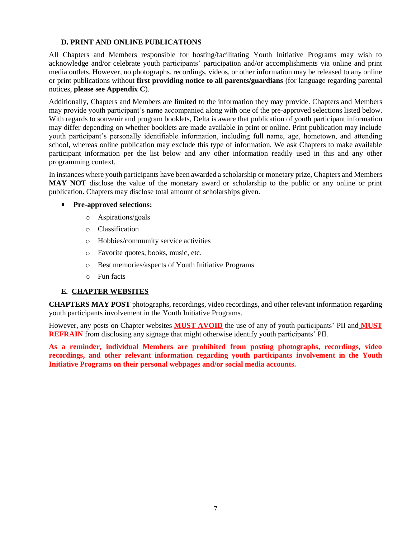#### **D. PRINT AND ONLINE PUBLICATIONS**

All Chapters and Members responsible for hosting/facilitating Youth Initiative Programs may wish to acknowledge and/or celebrate youth participants' participation and/or accomplishments via online and print media outlets. However, no photographs, recordings, videos, or other information may be released to any online or print publications without **first providing notice to all parents/guardians** (for language regarding parental notices, **please see Appendix C**).

Additionally, Chapters and Members are **limited** to the information they may provide. Chapters and Members may provide youth participant's name accompanied along with one of the pre-approved selections listed below. With regards to souvenir and program booklets, Delta is aware that publication of youth participant information may differ depending on whether booklets are made available in print or online. Print publication may include youth participant's personally identifiable information, including full name, age, hometown, and attending school, whereas online publication may exclude this type of information. We ask Chapters to make available participant information per the list below and any other information readily used in this and any other programming context.

In instances where youth participants have been awarded a scholarship or monetary prize, Chapters and Members **MAY NOT** disclose the value of the monetary award or scholarship to the public or any online or print publication. Chapters may disclose total amount of scholarships given.

#### **Pre-approved selections:**

- o Aspirations/goals
- o Classification
- o Hobbies/community service activities
- o Favorite quotes, books, music, etc.
- o Best memories/aspects of Youth Initiative Programs
- o Fun facts

#### **E. CHAPTER WEBSITES**

**CHAPTERS MAY POST** photographs, recordings, video recordings, and other relevant information regarding youth participants involvement in the Youth Initiative Programs.

However, any posts on Chapter websites **MUST AVOID** the use of any of youth participants' PII and **MUST REFRAIN** from disclosing any signage that might otherwise identify youth participants' PII.

**As a reminder, individual Members are prohibited from posting photographs, recordings, video recordings, and other relevant information regarding youth participants involvement in the Youth Initiative Programs on their personal webpages and/or social media accounts.**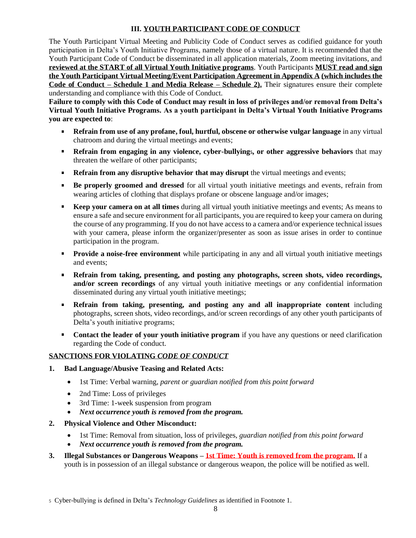## **III. YOUTH PARTICIPANT CODE OF CONDUCT**

The Youth Participant Virtual Meeting and Publicity Code of Conduct serves as codified guidance for youth participation in Delta's Youth Initiative Programs, namely those of a virtual nature. It is recommended that the Youth Participant Code of Conduct be disseminated in all application materials, Zoom meeting invitations, and **reviewed at the START of all Virtual Youth Initiative programs**. Youth Participants **MUST read and sign the Youth Participant Virtual Meeting/Event Participation Agreement in Appendix A (which includes the Code of Conduct – Schedule 1 and Media Release – Schedule 2).** Their signatures ensure their complete understanding and compliance with this Code of Conduct.

**Failure to comply with this Code of Conduct may result in loss of privileges and/or removal from Delta's Virtual Youth Initiative Programs. As a youth participant in Delta's Virtual Youth Initiative Programs you are expected to**:

- a. **Refrain from use of any profane, foul, hurtful, obscene or otherwise vulgar language** in any virtual chatroom and during the virtual meetings and events;
- **Refrain from engaging in any violence, cyber-bullying5, or other aggressive behaviors** that may threaten the welfare of other participants;
- **Refrain from any disruptive behavior that may disrupt** the virtual meetings and events;
- **Be properly groomed and dressed** for all virtual youth initiative meetings and events, refrain from wearing articles of clothing that displays profane or obscene language and/or images;
- **Keep your camera on at all times** during all virtual youth initiative meetings and events; As means to ensure a safe and secure environment for all participants, you are required to keep your camera on during the course of any programming. If you do not have access to a camera and/or experience technical issues with your camera, please inform the organizer/presenter as soon as issue arises in order to continue participation in the program.
- **Provide a noise-free environment** while participating in any and all virtual youth initiative meetings and events;
- **Refrain from taking, presenting, and posting any photographs, screen shots, video recordings,** and/or screen recordings of any virtual youth initiative meetings or any confidential information disseminated during any virtual youth initiative meetings;
- **Refrain from taking, presenting, and posting any and all inappropriate content** including photographs, screen shots, video recordings, and/or screen recordings of any other youth participants of Delta's youth initiative programs;
- **Contact the leader of your youth initiative program** if you have any questions or need clarification regarding the Code of conduct.

## **SANCTIONS FOR VIOLATING** *CODE OF CONDUCT*

- **1. Bad Language/Abusive Teasing and Related Acts:** 
	- 1st Time: Verbal warning, *parent or guardian notified from this point forward*
	- 2nd Time: Loss of privileges
	- 3rd Time: 1-week suspension from program
	- *Next occurrence youth is removed from the program.*
- **2. Physical Violence and Other Misconduct:** 
	- 1st Time: Removal from situation, loss of privileges, *guardian notified from this point forward*
	- *Next occurrence youth is removed from the program.*
- **3. Illegal Substances or Dangerous Weapons – 1st Time: Youth is removed from the program.** If a youth is in possession of an illegal substance or dangerous weapon, the police will be notified as well.

<sup>5</sup> Cyber-bullying is defined in Delta's *Technology Guidelines* as identified in Footnote 1.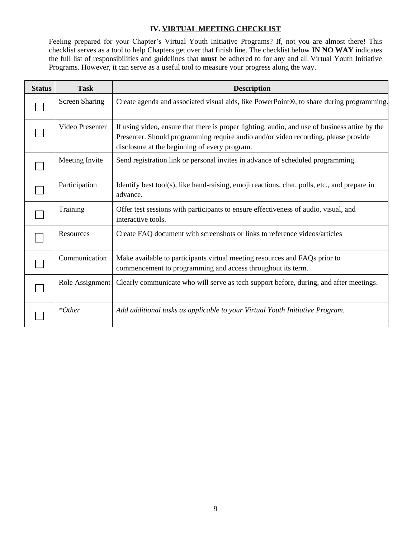#### **IV. VIRTUAL MEETING CHECKLIST**

Feeling prepared for your Chapter's Virtual Youth Initiative Programs? If, not you are almost there! This checklist serves as a tool to help Chapters get over that finish line. The checklist below **IN NO WAY** indicates the full list of responsibilities and guidelines that **must** be adhered to for any and all Virtual Youth Initiative Programs. However, it can serve as a useful tool to measure your progress along the way.

| <b>Status</b> | <b>Task</b>           | <b>Description</b>                                                                                                                                                                                                                    |
|---------------|-----------------------|---------------------------------------------------------------------------------------------------------------------------------------------------------------------------------------------------------------------------------------|
|               | <b>Screen Sharing</b> | Create agenda and associated visual aids, like PowerPoint®, to share during programming.                                                                                                                                              |
|               | Video Presenter       | If using video, ensure that there is proper lighting, audio, and use of business attire by the<br>Presenter. Should programming require audio and/or video recording, please provide<br>disclosure at the beginning of every program. |
|               | Meeting Invite        | Send registration link or personal invites in advance of scheduled programming.                                                                                                                                                       |
|               | Participation         | Identify best tool(s), like hand-raising, emoji reactions, chat, polls, etc., and prepare in<br>advance.                                                                                                                              |
|               | Training              | Offer test sessions with participants to ensure effectiveness of audio, visual, and<br>interactive tools.                                                                                                                             |
|               | Resources             | Create FAQ document with screenshots or links to reference videos/articles                                                                                                                                                            |
|               | Communication         | Make available to participants virtual meeting resources and FAQs prior to<br>commencement to programming and access throughout its term.                                                                                             |
|               | Role Assignment       | Clearly communicate who will serve as tech support before, during, and after meetings.                                                                                                                                                |
|               | $*Other$              | Add additional tasks as applicable to your Virtual Youth Initiative Program.                                                                                                                                                          |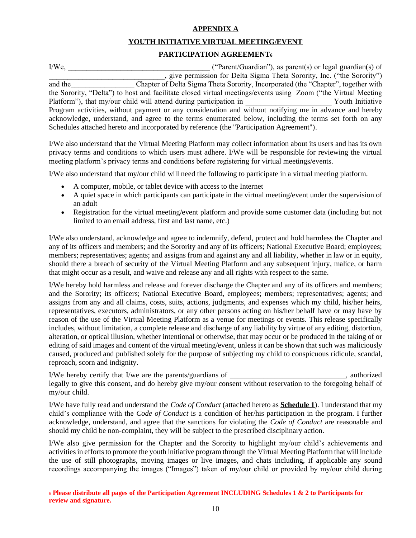#### **APPENDIX A**

#### **YOUTH INITIATIVE VIRTUAL MEETING/EVENT**

## **PARTICIPATION AGREEMENT<sup>6</sup>**

| $I/We$ ,                                                                                                |                                                                                                               | ("Parent/Guardian"), as parent(s) or legal guardian(s) of |
|---------------------------------------------------------------------------------------------------------|---------------------------------------------------------------------------------------------------------------|-----------------------------------------------------------|
|                                                                                                         | give permission for Delta Sigma Theta Sorority, Inc. ("the Sorority")                                         |                                                           |
| and the                                                                                                 | Chapter of Delta Sigma Theta Sorority, Incorporated (the "Chapter", together with                             |                                                           |
|                                                                                                         | the Sorority, "Delta") to host and facilitate closed virtual meetings/events using Zoom ("the Virtual Meeting |                                                           |
|                                                                                                         | Platform"), that my/our child will attend during participation in                                             | Youth Initiative                                          |
| Program activities, without payment or any consideration and without notifying me in advance and hereby |                                                                                                               |                                                           |
|                                                                                                         | acknowledge, understand, and agree to the terms enumerated below, including the terms set forth on any        |                                                           |
| Schedules attached hereto and incorporated by reference (the "Participation Agreement").                |                                                                                                               |                                                           |

I/We also understand that the Virtual Meeting Platform may collect information about its users and has its own privacy terms and conditions to which users must adhere. I/We will be responsible for reviewing the virtual meeting platform's privacy terms and conditions before registering for virtual meetings/events.

I/We also understand that my/our child will need the following to participate in a virtual meeting platform.

- A computer, mobile, or tablet device with access to the Internet
- A quiet space in which participants can participate in the virtual meeting/event under the supervision of an adult
- Registration for the virtual meeting/event platform and provide some customer data (including but not limited to an email address, first and last name, etc.)

I/We also understand, acknowledge and agree to indemnify, defend, protect and hold harmless the Chapter and any of its officers and members; and the Sorority and any of its officers; National Executive Board; employees; members; representatives; agents; and assigns from and against any and all liability, whether in law or in equity, should there a breach of security of the Virtual Meeting Platform and any subsequent injury, malice, or harm that might occur as a result, and waive and release any and all rights with respect to the same.

I/We hereby hold harmless and release and forever discharge the Chapter and any of its officers and members; and the Sorority; its officers; National Executive Board, employees; members; representatives; agents; and assigns from any and all claims, costs, suits, actions, judgments, and expenses which my child, his/her heirs, representatives, executors, administrators, or any other persons acting on his/her behalf have or may have by reason of the use of the Virtual Meeting Platform as a venue for meetings or events. This release specifically includes, without limitation, a complete release and discharge of any liability by virtue of any editing, distortion, alteration, or optical illusion, whether intentional or otherwise, that may occur or be produced in the taking of or editing of said images and content of the virtual meeting/event, unless it can be shown that such was maliciously caused, produced and published solely for the purpose of subjecting my child to conspicuous ridicule, scandal, reproach, scorn and indignity.

I/We hereby certify that I/we are the parents/guardians of \_\_\_\_\_\_\_\_\_\_\_\_\_\_\_\_\_\_\_\_\_\_\_\_\_\_\_\_\_\_\_, authorized legally to give this consent, and do hereby give my/our consent without reservation to the foregoing behalf of my/our child.

I/We have fully read and understand the *Code of Conduct* (attached hereto as **Schedule 1**). I understand that my child's compliance with the *Code of Conduct* is a condition of her/his participation in the program. I further acknowledge, understand, and agree that the sanctions for violating the *Code of Conduct* are reasonable and should my child be non-complaint, they will be subject to the prescribed disciplinary action.

I/We also give permission for the Chapter and the Sorority to highlight my/our child's achievements and activities in efforts to promote the youth initiative program through the Virtual Meeting Platform that will include the use of still photographs, moving images or live images, and chats including, if applicable any sound recordings accompanying the images ("Images") taken of my/our child or provided by my/our child during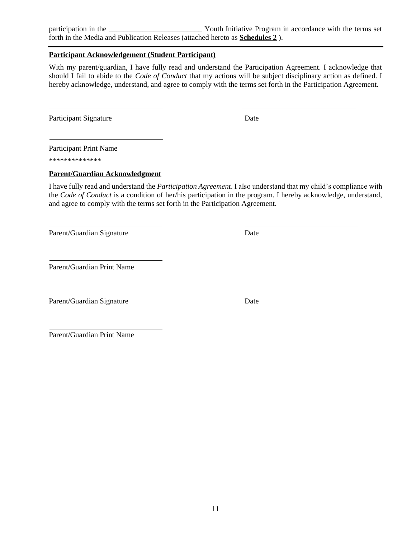participation in the \_\_\_\_\_\_\_\_\_\_\_\_\_\_\_\_\_\_\_\_\_\_\_\_\_ Youth Initiative Program in accordance with the terms set forth in the Media and Publication Releases (attached hereto as **Schedules 2** ).

## **Participant Acknowledgement (Student Participant)**

With my parent/guardian, I have fully read and understand the Participation Agreement. I acknowledge that should I fail to abide to the *Code of Conduct* that my actions will be subject disciplinary action as defined. I hereby acknowledge, understand, and agree to comply with the terms set forth in the Participation Agreement.

Participant Signature Date

Participant Print Name

\*\*\*\*\*\*\*\*\*\*\*\*\*\*

## **Parent/Guardian Acknowledgment**

I have fully read and understand the *Participation Agreement*. I also understand that my child's compliance with the *Code of Conduct* is a condition of her/his participation in the program. I hereby acknowledge, understand, and agree to comply with the terms set forth in the Participation Agreement.

Parent/Guardian Signature Date

Parent/Guardian Print Name

Parent/Guardian Signature Date

Parent/Guardian Print Name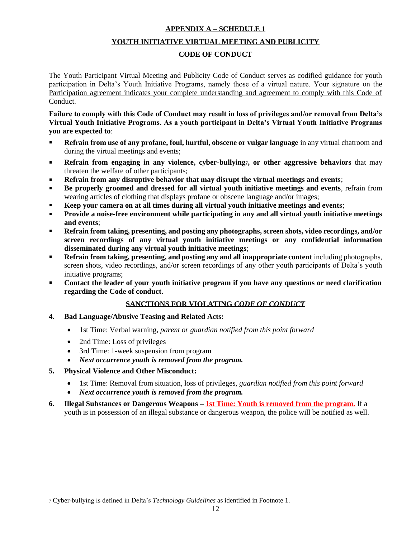#### **APPENDIX A – SCHEDULE 1**

## **YOUTH INITIATIVE VIRTUAL MEETING AND PUBLICITY**

#### **CODE OF CONDUCT**

The Youth Participant Virtual Meeting and Publicity Code of Conduct serves as codified guidance for youth participation in Delta's Youth Initiative Programs, namely those of a virtual nature. Your signature on the Participation agreement indicates your complete understanding and agreement to comply with this Code of Conduct.

**Failure to comply with this Code of Conduct may result in loss of privileges and/or removal from Delta's Virtual Youth Initiative Programs. As a youth participant in Delta's Virtual Youth Initiative Programs you are expected to**:

- **Refrain from use of any profane, foul, hurtful, obscene or vulgar language** in any virtual chatroom and during the virtual meetings and events;
- **Refrain from engaging in any violence, cyber-bullying7, or other aggressive behaviors** that may threaten the welfare of other participants;
- **Refrain from any disruptive behavior that may disrupt the virtual meetings and events**;
- **Be properly groomed and dressed for all virtual youth initiative meetings and events**, refrain from wearing articles of clothing that displays profane or obscene language and/or images;
- **Keep your camera on at all times during all virtual youth initiative meetings and events**;
- **Provide a noise-free environment while participating in any and all virtual youth initiative meetings and events**;
- $\blacksquare$ **Refrain from taking, presenting, and posting any photographs, screen shots, video recordings, and/or screen recordings of any virtual youth initiative meetings or any confidential information disseminated during any virtual youth initiative meetings**;
- **Refrain from taking, presenting, and posting any and all inappropriate content** including photographs, screen shots, video recordings, and/or screen recordings of any other youth participants of Delta's youth initiative programs;
- **Contact the leader of your youth initiative program if you have any questions or need clarification regarding the Code of conduct.**

#### **SANCTIONS FOR VIOLATING** *CODE OF CONDUCT*

- **4. Bad Language/Abusive Teasing and Related Acts:** 
	- 1st Time: Verbal warning, *parent or guardian notified from this point forward*
	- 2nd Time: Loss of privileges
	- 3rd Time: 1-week suspension from program
	- *Next occurrence youth is removed from the program.*
- **5. Physical Violence and Other Misconduct:** 
	- 1st Time: Removal from situation, loss of privileges, *guardian notified from this point forward*
	- *Next occurrence youth is removed from the program.*
- **6. Illegal Substances or Dangerous Weapons – 1st Time: Youth is removed from the program.** If a youth is in possession of an illegal substance or dangerous weapon, the police will be notified as well.

<sup>7</sup> Cyber-bullying is defined in Delta's *Technology Guidelines* as identified in Footnote 1.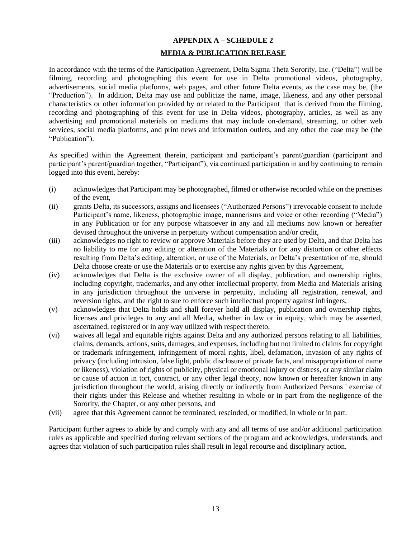#### **APPENDIX A – SCHEDULE 2**

#### **MEDIA & PUBLICATION RELEASE**

In accordance with the terms of the Participation Agreement, Delta Sigma Theta Sorority, Inc. ("Delta") will be filming, recording and photographing this event for use in Delta promotional videos, photography, advertisements, social media platforms, web pages, and other future Delta events, as the case may be, (the "Production"). In addition, Delta may use and publicize the name, image, likeness, and any other personal characteristics or other information provided by or related to the Participant that is derived from the filming, recording and photographing of this event for use in Delta videos, photography, articles, as well as any advertising and promotional materials on mediums that may include on-demand, streaming, or other web services, social media platforms, and print news and information outlets, and any other the case may be (the "Publication").

As specified within the Agreement therein, participant and participant's parent/guardian (participant and participant's parent/guardian together, "Participant"), via continued participation in and by continuing to remain logged into this event, hereby:

- (i) acknowledges that Participant may be photographed, filmed or otherwise recorded while on the premises of the event,
- (ii) grants Delta, its successors, assigns and licensees ("Authorized Persons") irrevocable consent to include Participant's name, likeness, photographic image, mannerisms and voice or other recording ("Media") in any Publication or for any purpose whatsoever in any and all mediums now known or hereafter devised throughout the universe in perpetuity without compensation and/or credit,
- (iii) acknowledges no right to review or approve Materials before they are used by Delta, and that Delta has no liability to me for any editing or alteration of the Materials or for any distortion or other effects resulting from Delta's editing, alteration, or use of the Materials, or Delta's presentation of me, should Delta choose create or use the Materials or to exercise any rights given by this Agreement,
- (iv) acknowledges that Delta is the exclusive owner of all display, publication, and ownership rights, including copyright, trademarks, and any other intellectual property, from Media and Materials arising in any jurisdiction throughout the universe in perpetuity, including all registration, renewal, and reversion rights, and the right to sue to enforce such intellectual property against infringers,
- (v) acknowledges that Delta holds and shall forever hold all display, publication and ownership rights, licenses and privileges to any and all Media, whether in law or in equity, which may be asserted, ascertained, registered or in any way utilized with respect thereto,
- (vi) waives all legal and equitable rights against Delta and any authorized persons relating to all liabilities, claims, demands, actions, suits, damages, and expenses, including but not limited to claims for copyright or trademark infringement, infringement of moral rights, libel, defamation, invasion of any rights of privacy (including intrusion, false light, public disclosure of private facts, and misappropriation of name or likeness), violation of rights of publicity, physical or emotional injury or distress, or any similar claim or cause of action in tort, contract, or any other legal theory, now known or hereafter known in any jurisdiction throughout the world, arising directly or indirectly from Authorized Persons ' exercise of their rights under this Release and whether resulting in whole or in part from the negligence of the Sorority, the Chapter, or any other persons, and
- (vii) agree that this Agreement cannot be terminated, rescinded, or modified, in whole or in part.

Participant further agrees to abide by and comply with any and all terms of use and/or additional participation rules as applicable and specified during relevant sections of the program and acknowledges, understands, and agrees that violation of such participation rules shall result in legal recourse and disciplinary action.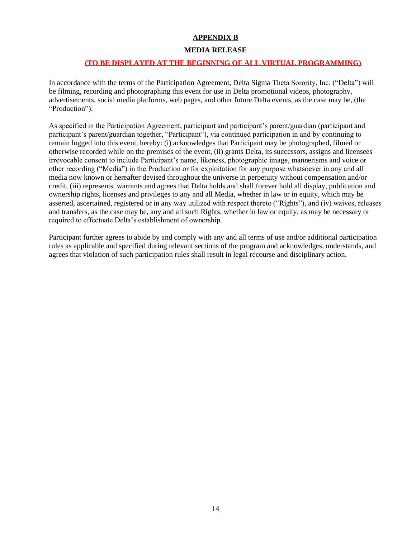## **APPENDIX B**

#### **MEDIA RELEASE**

#### **(TO BE DISPLAYED AT THE BEGINNING OF ALL VIRTUAL PROGRAMMING)**

In accordance with the terms of the Participation Agreement, Delta Sigma Theta Sorority, Inc. ("Delta") will be filming, recording and photographing this event for use in Delta promotional videos, photography, advertisements, social media platforms, web pages, and other future Delta events, as the case may be, (the "Production").

As specified in the Participation Agreement, participant and participant's parent/guardian (participant and participant's parent/guardian together, "Participant"), via continued participation in and by continuing to remain logged into this event, hereby: (i) acknowledges that Participant may be photographed, filmed or otherwise recorded while on the premises of the event, (ii) grants Delta, its successors, assigns and licensees irrevocable consent to include Participant's name, likeness, photographic image, mannerisms and voice or other recording ("Media") in the Production or for exploitation for any purpose whatsoever in any and all media now known or hereafter devised throughout the universe in perpetuity without compensation and/or credit, (iii) represents, warrants and agrees that Delta holds and shall forever hold all display, publication and ownership rights, licenses and privileges to any and all Media, whether in law or in equity, which may be asserted, ascertained, registered or in any way utilized with respect thereto ("Rights"), and (iv) waives, releases and transfers, as the case may be, any and all such Rights, whether in law or equity, as may be necessary or required to effectuate Delta's establishment of ownership.

Participant further agrees to abide by and comply with any and all terms of use and/or additional participation rules as applicable and specified during relevant sections of the program and acknowledges, understands, and agrees that violation of such participation rules shall result in legal recourse and disciplinary action.